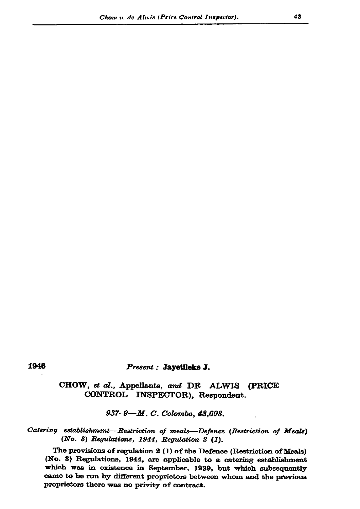#### 1946

#### Present : Jayetlleke J.

## CHOW, et al., Appellants, and DE ALWIS (PRICE CONTROL INSPECTOR), Respondent.

937-9-M.C. Colombo, 48,698.

### Catering establishment-Restriction of meals-Defence (Restriction of Meals) (No. 3) Regulations, 1944, Regulation 2 (1).

The provisions of regulation 2 (1) of the Defence (Restriction of Meals) (No. 3) Regulations, 1944, are applicable to a catering establishment which was in existence in September, 1939, but which subsequently came to be run by different proprietors between whom and the previous proprietors there was no privity of contract.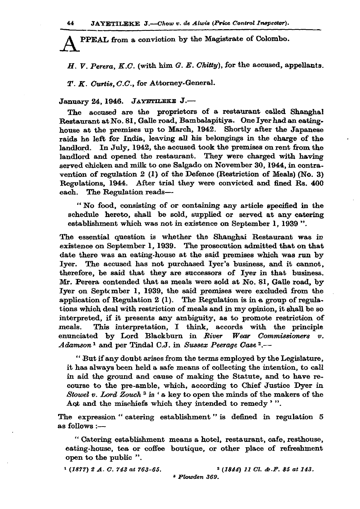PPEAL from a conviction by the Magistrate of Colombo.

 $H.$  V. Perera, K.C. (with him G. E. Chitty), for the accused, appellants.

T. K. Curtis, C.C., for Attorney-General.

# January 24, 1946. JAYETILEKE J.-

The accused are the proprietors of a restaurant called Shanghal Restaurant at No. 81, Galle road, Bambalapitiya. One Iyer had an eatinghouse at the premises up to March, 1942. Shortly after the Japanese raids he left for India, leaving all his belongings in the charge of the landlord. In July, 1942, the accused took the premises on rent from the landlord and opened the restaurant. They were charged with having served chicken and milk to one Salgado on November 30, 1944, in contravention of regulation  $2(1)$  of the Defence (Restriction of Meals) (No. 3) Regulations, 1944. After trial they were convicted and fined Rs. 400 each. The Regulation reads-

"No food, consisting of or containing any article specified in the schedule hereto, shall be sold, supplied or served at any catering establishment which was not in existence on September 1, 1939".

The essential question is whether the Shanghai Restaurant was in existence on September 1, 1939. The prosecution admitted that on that date there was an eating-house at the said premises which was run by Iyer. The accused has not purchased Iyer's business, and it cannot, therefore, be said that they are successors of Iyer in that business. Mr. Perera contended that as meals were sold at No. 81, Galle road, by Iyer on September 1, 1939, the said premises were excluded from the application of Regulation 2  $(1)$ . The Regulation is in a group of regulations which deal with restriction of meals and in my opinion, it shall be so interpreted, if it presents any ambiguity, as to promote restriction of This interpretation, I think, accords with the principle meals. enunciated by Lord Blackburn in River Wear Commissioners v. Adamson<sup>1</sup> and per Tindal C.J. in Sussex Peerage Case<sup>2</sup>.--

"But if any doubt arises from the terms employed by the Legislature, it has always been held a safe means of collecting the intention, to call in aid the ground and cause of making the Statute, and to have recourse to the pre-amble, which, according to Chief Justice Dyer in Stowel v. Lord Zouch<sup>3</sup> is 'a key to open the minds of the makers of the Act and the mischiefs which they intended to remedy '".

The expression "catering establishment" is defined in regulation 5 as follows :-

"Catering establishment means a hotel, restaurant, cafe, resthouse, eating-house, tea or coffee boutique, or other place of refreshment open to the public ".

 $(1877)$  2 A. C. 743 at 763-65.

 $2(1844)$  11 Cl. & F. 85 at 143. <sup>3</sup> Plowden 369.